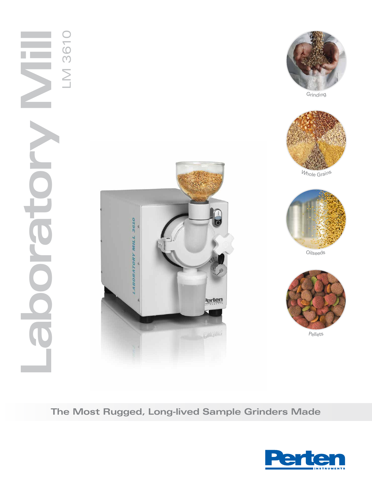



Grinding



Whole Grain<sup>s</sup>



Oilse<sup>e</sup>d<sup>s</sup>



Pellet<sup>s</sup>